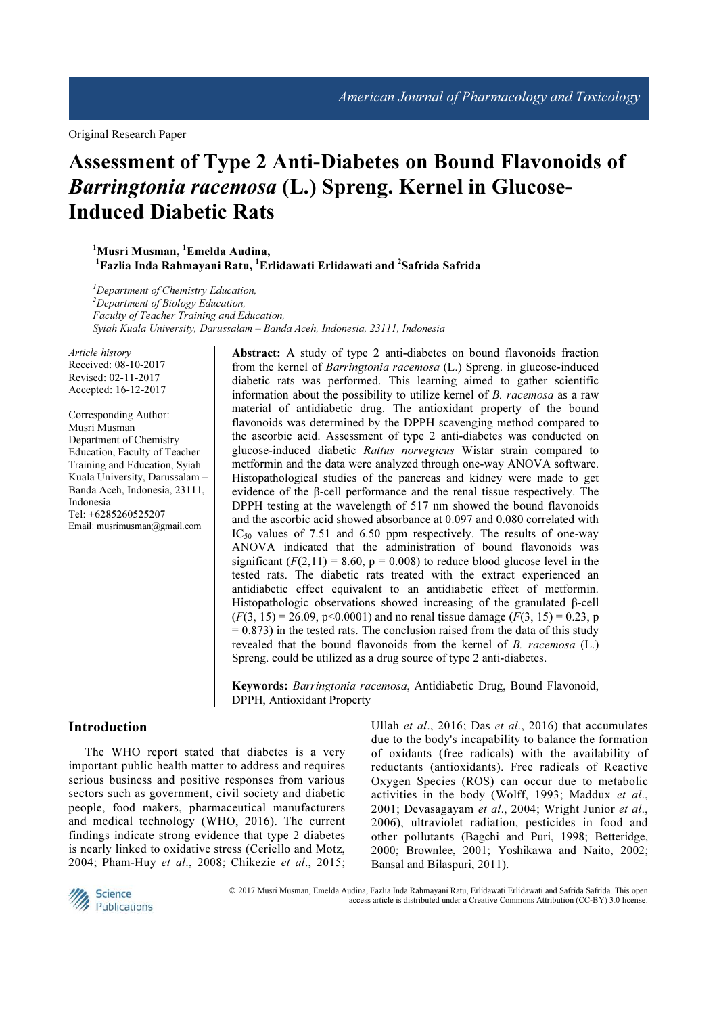# Assessment of Type 2 Anti-Diabetes on Bound Flavonoids of Barringtonia racemosa (L.) Spreng. Kernel in Glucose-Induced Diabetic Rats

<sup>1</sup>Musri Musman, <sup>1</sup>Emelda Audina,  $^1$ Fazlia Inda Rahmayani Ratu,  $^1$ Erlidawati Erlidawati and  $^2$ Safrida Safrida

 ${}^{1}$ Department of Chemistry Education,  $2D$ epartment of Biology Education, Faculty of Teacher Training and Education, Syiah Kuala University, Darussalam – Banda Aceh, Indonesia, 23111, Indonesia

Article history Received: 08-10-2017 Revised: 02-11-2017 Accepted: 16-12-2017

Corresponding Author: Musri Musman Department of Chemistry Education, Faculty of Teacher Training and Education, Syiah Kuala University, Darussalam – Banda Aceh, Indonesia, 23111, Indonesia Tel: +6285260525207 Email: musrimusman@gmail.com

Abstract: A study of type 2 anti-diabetes on bound flavonoids fraction from the kernel of Barringtonia racemosa (L.) Spreng. in glucose-induced diabetic rats was performed. This learning aimed to gather scientific information about the possibility to utilize kernel of B. racemosa as a raw material of antidiabetic drug. The antioxidant property of the bound flavonoids was determined by the DPPH scavenging method compared to the ascorbic acid. Assessment of type 2 anti-diabetes was conducted on glucose-induced diabetic Rattus norvegicus Wistar strain compared to metformin and the data were analyzed through one-way ANOVA software. Histopathological studies of the pancreas and kidney were made to get evidence of the β-cell performance and the renal tissue respectively. The DPPH testing at the wavelength of 517 nm showed the bound flavonoids and the ascorbic acid showed absorbance at 0.097 and 0.080 correlated with  $IC_{50}$  values of 7.51 and 6.50 ppm respectively. The results of one-way ANOVA indicated that the administration of bound flavonoids was significant  $(F(2, 11) = 8.60, p = 0.008)$  to reduce blood glucose level in the tested rats. The diabetic rats treated with the extract experienced an antidiabetic effect equivalent to an antidiabetic effect of metformin. Histopathologic observations showed increasing of the granulated β-cell  $(F(3, 15) = 26.09, p<0.0001)$  and no renal tissue damage  $(F(3, 15) = 0.23, p$  $= 0.873$ ) in the tested rats. The conclusion raised from the data of this study revealed that the bound flavonoids from the kernel of B. racemosa (L.) Spreng. could be utilized as a drug source of type 2 anti-diabetes.

Keywords: Barringtonia racemosa, Antidiabetic Drug, Bound Flavonoid, DPPH, Antioxidant Property

# Introduction

The WHO report stated that diabetes is a very important public health matter to address and requires serious business and positive responses from various sectors such as government, civil society and diabetic people, food makers, pharmaceutical manufacturers and medical technology (WHO, 2016). The current findings indicate strong evidence that type 2 diabetes is nearly linked to oxidative stress (Ceriello and Motz, 2004; Pham-Huy et al., 2008; Chikezie et al., 2015; Ullah et al., 2016; Das et al., 2016) that accumulates due to the body's incapability to balance the formation of oxidants (free radicals) with the availability of reductants (antioxidants). Free radicals of Reactive Oxygen Species (ROS) can occur due to metabolic activities in the body (Wolff, 1993; Maddux et al., 2001; Devasagayam et al., 2004; Wright Junior et al., 2006), ultraviolet radiation, pesticides in food and other pollutants (Bagchi and Puri, 1998; Betteridge, 2000; Brownlee, 2001; Yoshikawa and Naito, 2002; Bansal and Bilaspuri, 2011).



 © 2017 Musri Musman, Emelda Audina, Fazlia Inda Rahmayani Ratu, Erlidawati Erlidawati and Safrida Safrida. This open access article is distributed under a Creative Commons Attribution (CC-BY) 3.0 license.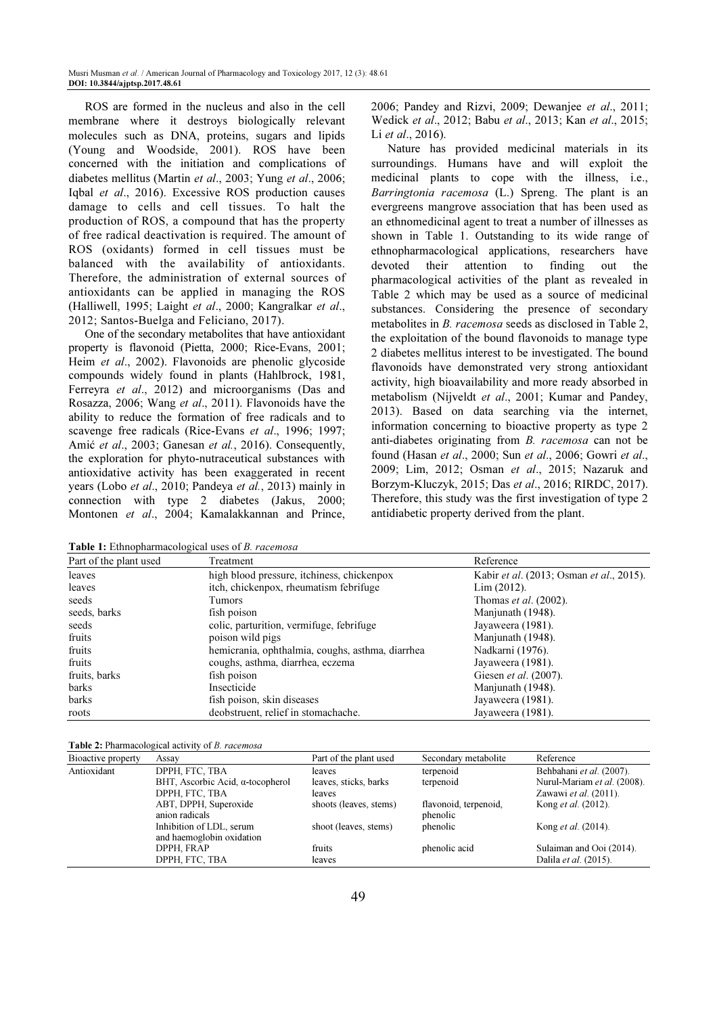ROS are formed in the nucleus and also in the cell membrane where it destroys biologically relevant molecules such as DNA, proteins, sugars and lipids (Young and Woodside, 2001). ROS have been concerned with the initiation and complications of diabetes mellitus (Martin et al., 2003; Yung et al., 2006; Iqbal et al., 2016). Excessive ROS production causes damage to cells and cell tissues. To halt the production of ROS, a compound that has the property of free radical deactivation is required. The amount of ROS (oxidants) formed in cell tissues must be balanced with the availability of antioxidants. Therefore, the administration of external sources of antioxidants can be applied in managing the ROS (Halliwell, 1995; Laight et al., 2000; Kangralkar et al., 2012; Santos-Buelga and Feliciano, 2017).

One of the secondary metabolites that have antioxidant property is flavonoid (Pietta, 2000; Rice-Evans, 2001; Heim et al., 2002). Flavonoids are phenolic glycoside compounds widely found in plants (Hahlbrock, 1981, Ferreyra et al., 2012) and microorganisms (Das and Rosazza, 2006; Wang et al., 2011). Flavonoids have the ability to reduce the formation of free radicals and to scavenge free radicals (Rice-Evans et al., 1996; 1997; Amić et al., 2003; Ganesan et al., 2016). Consequently, the exploration for phyto-nutraceutical substances with antioxidative activity has been exaggerated in recent years (Lobo et al., 2010; Pandeya et al., 2013) mainly in connection with type 2 diabetes (Jakus, 2000; Montonen et al., 2004; Kamalakkannan and Prince, 2006; Pandey and Rizvi, 2009; Dewanjee et al., 2011; Wedick et al., 2012; Babu et al., 2013; Kan et al., 2015; Li *et al.*, 2016).

Nature has provided medicinal materials in its surroundings. Humans have and will exploit the medicinal plants to cope with the illness, i.e., Barringtonia racemosa (L.) Spreng. The plant is an evergreens mangrove association that has been used as an ethnomedicinal agent to treat a number of illnesses as shown in Table 1. Outstanding to its wide range of ethnopharmacological applications, researchers have devoted their attention to finding out the pharmacological activities of the plant as revealed in Table 2 which may be used as a source of medicinal substances. Considering the presence of secondary metabolites in B. racemosa seeds as disclosed in Table 2, the exploitation of the bound flavonoids to manage type 2 diabetes mellitus interest to be investigated. The bound flavonoids have demonstrated very strong antioxidant activity, high bioavailability and more ready absorbed in metabolism (Nijveldt et al., 2001; Kumar and Pandey, 2013). Based on data searching via the internet, information concerning to bioactive property as type 2 anti-diabetes originating from B. racemosa can not be found (Hasan et al., 2000; Sun et al., 2006; Gowri et al., 2009; Lim, 2012; Osman et al., 2015; Nazaruk and Borzym-Kluczyk, 2015; Das et al., 2016; RIRDC, 2017). Therefore, this study was the first investigation of type 2 antidiabetic property derived from the plant.

Table 1: Ethnopharmacological uses of B. racemosa

| Part of the plant used | Treatment                                        | Reference                                               |
|------------------------|--------------------------------------------------|---------------------------------------------------------|
| leaves                 | high blood pressure, itchiness, chickenpox       | Kabir <i>et al.</i> (2013; Osman <i>et al.</i> , 2015). |
| leaves                 | itch, chickenpox, rheumatism febrifuge           | Lim (2012).                                             |
| seeds                  | Tumors                                           | Thomas <i>et al.</i> (2002).                            |
| seeds, barks           | fish poison                                      | Manjunath (1948).                                       |
| seeds                  | colic, parturition, vermifuge, febrifuge         | Jayaweera (1981).                                       |
| fruits                 | poison wild pigs                                 | Manjunath (1948).                                       |
| fruits                 | hemicrania, ophthalmia, coughs, asthma, diarrhea | Nadkarni (1976).                                        |
| fruits                 | coughs, asthma, diarrhea, eczema                 | Jayaweera (1981).                                       |
| fruits, barks          | fish poison                                      | Giesen et al. (2007).                                   |
| barks                  | Insecticide                                      | Manjunath (1948).                                       |
| barks                  | fish poison, skin diseases                       | Jayaweera (1981).                                       |
| roots                  | deobstruent, relief in stomachache.              | Jayaweera (1981).                                       |

|  | Table 2: Pharmacological activity of B. racemosa |  |  |
|--|--------------------------------------------------|--|--|
|--|--------------------------------------------------|--|--|

| Bioactive property | Assay                                    | Part of the plant used | Secondary metabolite  | Reference                   |
|--------------------|------------------------------------------|------------------------|-----------------------|-----------------------------|
| Antioxidant        | DPPH, FTC, TBA                           | leaves                 | terpenoid             | Behbahani et al. (2007).    |
|                    | BHT, Ascorbic Acid, $\alpha$ -tocopherol | leaves, sticks, barks  | terpenoid             | Nurul-Mariam et al. (2008). |
|                    | DPPH, FTC, TBA                           | leaves                 |                       | Zawawi et al. (2011).       |
|                    | ABT, DPPH, Superoxide                    | shoots (leaves, stems) | flavonoid, terpenoid, | Kong <i>et al.</i> (2012).  |
|                    | anion radicals                           |                        | phenolic              |                             |
|                    | Inhibition of LDL, serum                 | shoot (leaves, stems)  | phenolic              | Kong <i>et al.</i> (2014).  |
|                    | and haemoglobin oxidation                |                        |                       |                             |
|                    | DPPH, FRAP                               | fruits                 | phenolic acid         | Sulaiman and Ooi (2014).    |
|                    | DPPH, FTC, TBA                           | leaves                 |                       | Dalila et al. (2015).       |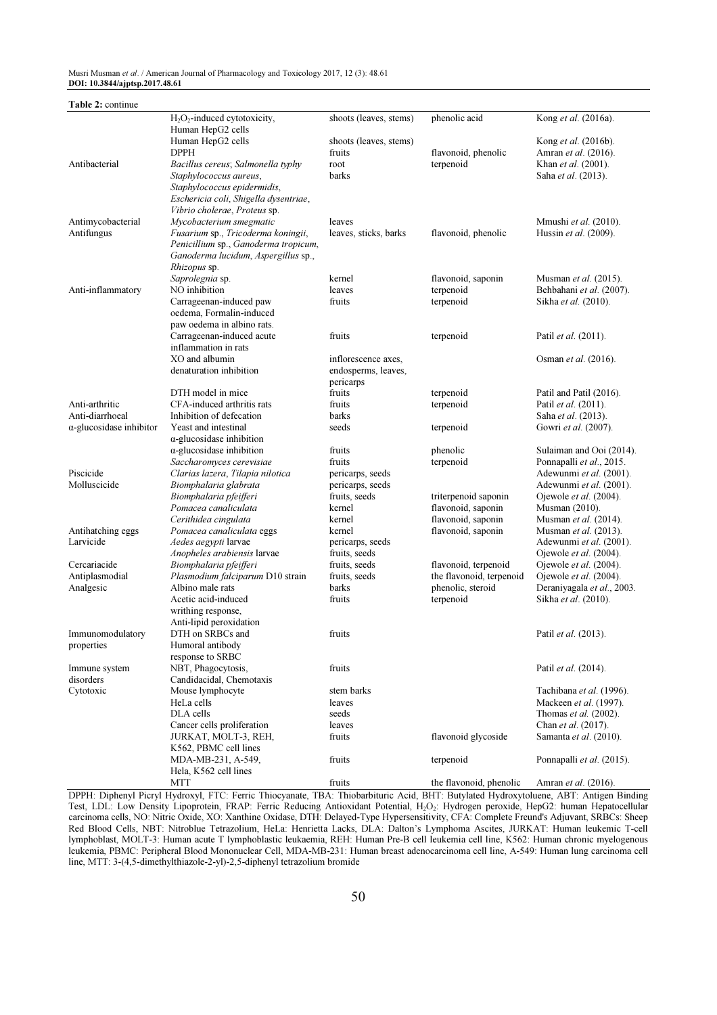Musri Musman et al. / American Journal of Pharmacology and Toxicology 2017, 12 (3): 48.61 DOI: 10.3844/ajptsp.2017.48.61

| Table 2: continue               |                                                                             |                                |                          |                                                  |
|---------------------------------|-----------------------------------------------------------------------------|--------------------------------|--------------------------|--------------------------------------------------|
|                                 | $H2O2$ -induced cytotoxicity,                                               | shoots (leaves, stems)         | phenolic acid            | Kong et al. (2016a).                             |
|                                 | Human HepG2 cells                                                           |                                |                          |                                                  |
|                                 | Human HepG2 cells                                                           | shoots (leaves, stems)         |                          | Kong et al. (2016b).                             |
|                                 | <b>DPPH</b>                                                                 | fruits                         | flavonoid, phenolic      | Amran et al. (2016).                             |
| Antibacterial                   | Bacillus cereus; Salmonella typhy                                           | root                           | terpenoid                | Khan et al. (2001).                              |
|                                 | Staphylococcus aureus,                                                      | barks                          |                          | Saha et al. (2013).                              |
|                                 | Staphylococcus epidermidis,                                                 |                                |                          |                                                  |
|                                 | Eschericia coli, Shigella dysentriae,                                       |                                |                          |                                                  |
|                                 | Vibrio cholerae, Proteus sp.                                                |                                |                          |                                                  |
| Antimycobacterial               | Mycobacterium smegmatic                                                     | leaves                         |                          | Mmushi et al. (2010).                            |
| Antifungus                      | Fusarium sp., Tricoderma koningii,                                          | leaves, sticks, barks          | flavonoid, phenolic      | Hussin et al. (2009).                            |
|                                 | Penicillium sp., Ganoderma tropicum,<br>Ganoderma lucidum, Aspergillus sp., |                                |                          |                                                  |
|                                 | Rhizopus sp.                                                                |                                |                          |                                                  |
|                                 | Saprolegnia sp.                                                             | kernel                         | flavonoid, saponin       | Musman et al. (2015).                            |
| Anti-inflammatory               | NO inhibition                                                               | leaves                         | terpenoid                | Behbahani et al. (2007).                         |
|                                 | Carrageenan-induced paw                                                     | fruits                         | terpenoid                | Sikha et al. (2010).                             |
|                                 | oedema, Formalin-induced                                                    |                                |                          |                                                  |
|                                 | paw oedema in albino rats.                                                  |                                |                          |                                                  |
|                                 | Carrageenan-induced acute                                                   | fruits                         | terpenoid                | Patil et al. (2011).                             |
|                                 | inflammation in rats                                                        |                                |                          |                                                  |
|                                 | XO and albumin                                                              | inflorescence axes.            |                          | Osman et al. (2016).                             |
|                                 | denaturation inhibition                                                     | endosperms, leaves,            |                          |                                                  |
|                                 |                                                                             | pericarps                      |                          |                                                  |
|                                 | DTH model in mice                                                           | fruits                         | terpenoid                | Patil and Patil (2016).                          |
| Anti-arthritic                  | CFA-induced arthritis rats                                                  | fruits                         | terpenoid                | Patil <i>et al.</i> (2011).                      |
| Anti-diarrhoeal                 | Inhibition of defecation                                                    | barks                          |                          | Saha et al. (2013).                              |
| $\alpha$ -glucosidase inhibitor | Yeast and intestinal                                                        | seeds                          | terpenoid                | Gowri et al. (2007).                             |
|                                 | $\alpha$ -glucosidase inhibition                                            |                                |                          |                                                  |
|                                 | $\alpha$ -glucosidase inhibition                                            | fruits                         | phenolic                 | Sulaiman and Ooi (2014).                         |
|                                 | Saccharomyces cerevisiae                                                    | fruits                         | terpenoid                | Ponnapalli et al., 2015.                         |
| Piscicide                       | Clarias lazera, Tilapia nilotica                                            | pericarps, seeds               |                          | Adewunmi et al. (2001).                          |
| Molluscicide                    | Biomphalaria glabrata                                                       | pericarps, seeds               |                          | Adewunmi et al. (2001).                          |
|                                 | Biomphalaria pfeifferi                                                      | fruits, seeds                  | triterpenoid saponin     | Ojewole et al. (2004).                           |
|                                 | Pomacea canaliculata                                                        | kernel                         | flavonoid, saponin       | Musman (2010).                                   |
|                                 | Cerithidea cingulata                                                        | kernel                         | flavonoid, saponin       | Musman et al. (2014).                            |
| Antihatching eggs               | Pomacea canaliculata eggs                                                   | kernel                         | flavonoid, saponin       | Musman et al. (2013).                            |
| Larvicide                       | Aedes aegypti larvae                                                        | pericarps, seeds               |                          | Adewunmi et al. (2001).                          |
| Cercariacide                    | Anopheles arabiensis larvae                                                 | fruits, seeds<br>fruits, seeds | flavonoid, terpenoid     | Ojewole et al. (2004).                           |
| Antiplasmodial                  | Biomphalaria pfeifferi<br>Plasmodium falciparum D10 strain                  | fruits, seeds                  | the flavonoid, terpenoid | Ojewole et al. (2004).<br>Ojewole et al. (2004). |
| Analgesic                       | Albino male rats                                                            | barks                          | phenolic, steroid        | Deraniyagala et al., 2003.                       |
|                                 | Acetic acid-induced                                                         | fruits                         | terpenoid                | Sikha et al. (2010).                             |
|                                 | writhing response,                                                          |                                |                          |                                                  |
|                                 | Anti-lipid peroxidation                                                     |                                |                          |                                                  |
| Immunomodulatory                | DTH on SRBCs and                                                            | fruits                         |                          | Patil <i>et al.</i> (2013).                      |
| properties                      | Humoral antibody                                                            |                                |                          |                                                  |
|                                 | response to SRBC                                                            |                                |                          |                                                  |
| Immune system                   | NBT, Phagocytosis,                                                          | fruits                         |                          | Patil et al. (2014).                             |
| disorders                       | Candidacidal, Chemotaxis                                                    |                                |                          |                                                  |
| Cytotoxic                       | Mouse lymphocyte                                                            | stem barks                     |                          | Tachibana et al. (1996).                         |
|                                 | HeLa cells                                                                  | leaves                         |                          | Mackeen et al. (1997).                           |
|                                 | DLA cells                                                                   | seeds                          |                          | Thomas <i>et al.</i> (2002).                     |
|                                 | Cancer cells proliferation                                                  | leaves                         |                          | Chan et al. (2017).                              |
|                                 | JURKAT, MOLT-3, REH,                                                        | fruits                         | flavonoid glycoside      | Samanta et al. (2010).                           |
|                                 | K562, PBMC cell lines                                                       |                                |                          |                                                  |
|                                 | MDA-MB-231, A-549,                                                          | fruits                         | terpenoid                | Ponnapalli et al. (2015).                        |
|                                 | Hela, K562 cell lines                                                       |                                |                          |                                                  |
|                                 | MTT                                                                         | fruits                         | the flavonoid, phenolic  | Amran et al. (2016).                             |

DPPH: Diphenyl Picryl Hydroxyl, FTC: Ferric Thiocyanate, TBA: Thiobarbituric Acid, BHT: Butylated Hydroxytoluene, ABT: Antigen Binding Test, LDL: Low Density Lipoprotein, FRAP: Ferric Reducing Antioxidant Potential, H<sub>2</sub>O<sub>2</sub>: Hydrogen peroxide, HepG2: human Hepatocellular carcinoma cells, NO: Nitric Oxide, XO: Xanthine Oxidase, DTH: Delayed-Type Hypersensitivity, CFA: Complete Freund's Adjuvant, SRBCs: Sheep Red Blood Cells, NBT: Nitroblue Tetrazolium, HeLa: Henrietta Lacks, DLA: Dalton's Lymphoma Ascites, JURKAT: Human leukemic T-cell lymphoblast, MOLT-3: Human acute T lymphoblastic leukaemia, REH: Human Pre-B cell leukemia cell line, K562: Human chronic myelogenous leukemia, PBMC: Peripheral Blood Mononuclear Cell, MDA-MB-231: Human breast adenocarcinoma cell line, A-549: Human lung carcinoma cell line, MTT: 3-(4,5-dimethylthiazole-2-yl)-2,5-diphenyl tetrazolium bromide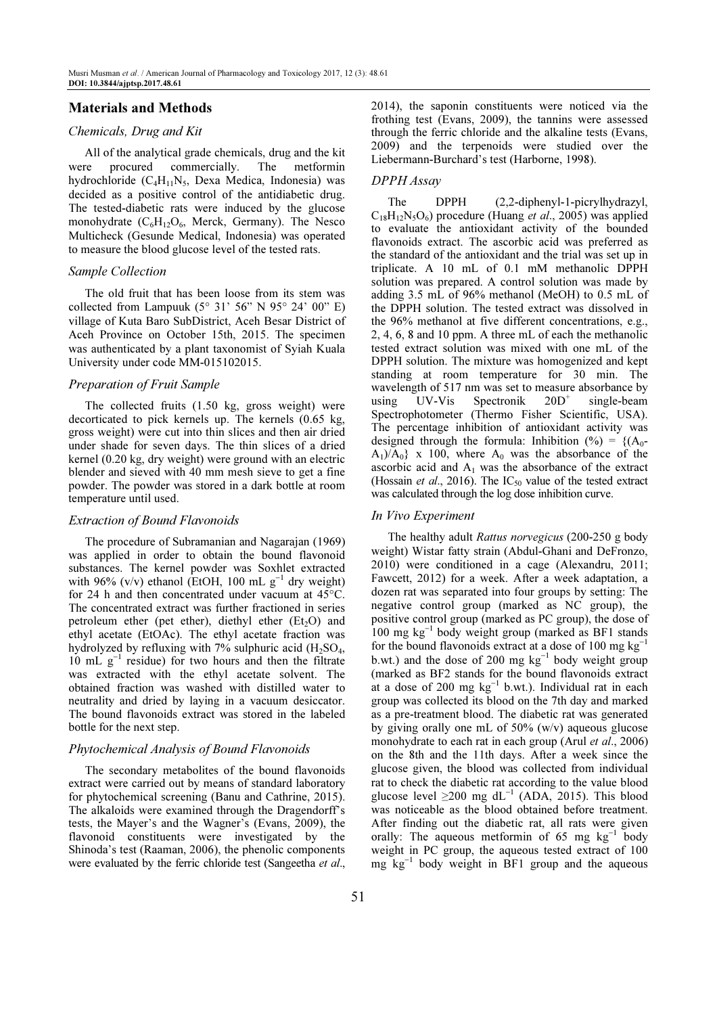# Materials and Methods

## Chemicals, Drug and Kit

All of the analytical grade chemicals, drug and the kit were procured commercially. The metformin hydrochloride (C<sub>4</sub>H<sub>11</sub>N<sub>5</sub>, Dexa Medica, Indonesia) was decided as a positive control of the antidiabetic drug. The tested-diabetic rats were induced by the glucose monohydrate  $(C_6H_{12}O_6,$  Merck, Germany). The Nesco Multicheck (Gesunde Medical, Indonesia) was operated to measure the blood glucose level of the tested rats.

### Sample Collection

The old fruit that has been loose from its stem was collected from Lampuuk  $(5^{\circ} 31' 56'' N 95^{\circ} 24' 00'' E)$ village of Kuta Baro SubDistrict, Aceh Besar District of Aceh Province on October 15th, 2015. The specimen was authenticated by a plant taxonomist of Syiah Kuala University under code MM-015102015.

#### Preparation of Fruit Sample

The collected fruits (1.50 kg, gross weight) were decorticated to pick kernels up. The kernels (0.65 kg, gross weight) were cut into thin slices and then air dried under shade for seven days. The thin slices of a dried kernel (0.20 kg, dry weight) were ground with an electric blender and sieved with 40 mm mesh sieve to get a fine powder. The powder was stored in a dark bottle at room temperature until used.

#### Extraction of Bound Flavonoids

The procedure of Subramanian and Nagarajan (1969) was applied in order to obtain the bound flavonoid substances. The kernel powder was Soxhlet extracted with 96%  $(v/v)$  ethanol (EtOH, 100 mL  $g^{-1}$  dry weight) for 24 h and then concentrated under vacuum at 45°C. The concentrated extract was further fractioned in series petroleum ether (pet ether), diethyl ether ( $Et<sub>2</sub>O$ ) and ethyl acetate (EtOAc). The ethyl acetate fraction was hydrolyzed by refluxing with 7% sulphuric acid  $(H_2SO_4)$ , 10 mL g<sup>−</sup><sup>1</sup> residue) for two hours and then the filtrate was extracted with the ethyl acetate solvent. The obtained fraction was washed with distilled water to neutrality and dried by laying in a vacuum desiccator. The bound flavonoids extract was stored in the labeled bottle for the next step.

# Phytochemical Analysis of Bound Flavonoids

The secondary metabolites of the bound flavonoids extract were carried out by means of standard laboratory for phytochemical screening (Banu and Cathrine, 2015). The alkaloids were examined through the Dragendorff's tests, the Mayer's and the Wagner's (Evans, 2009), the flavonoid constituents were investigated by the Shinoda's test (Raaman, 2006), the phenolic components were evaluated by the ferric chloride test (Sangeetha et al., 2014), the saponin constituents were noticed via the frothing test (Evans, 2009), the tannins were assessed through the ferric chloride and the alkaline tests (Evans, 2009) and the terpenoids were studied over the Liebermann-Burchard's test (Harborne, 1998).

#### DPPH Assay

The DPPH (2,2-diphenyl-1-picrylhydrazyl,  $C_{18}H_{12}N_5O_6$ ) procedure (Huang *et al.*, 2005) was applied to evaluate the antioxidant activity of the bounded flavonoids extract. The ascorbic acid was preferred as the standard of the antioxidant and the trial was set up in triplicate. A 10 mL of 0.1 mM methanolic DPPH solution was prepared. A control solution was made by adding 3.5 mL of 96% methanol (MeOH) to 0.5 mL of the DPPH solution. The tested extract was dissolved in the 96% methanol at five different concentrations, e.g., 2, 4, 6, 8 and 10 ppm. A three mL of each the methanolic tested extract solution was mixed with one mL of the DPPH solution. The mixture was homogenized and kept standing at room temperature for 30 min. The wavelength of 517 nm was set to measure absorbance by using UV-Vis Spectronik  $20D^+$  single-beam Spectrophotometer (Thermo Fisher Scientific, USA). The percentage inhibition of antioxidant activity was designed through the formula: Inhibition (%) =  $\{(A_0 A_1$ )/ $A_0$ } x 100, where  $A_0$  was the absorbance of the ascorbic acid and  $A_1$  was the absorbance of the extract (Hossain et al., 2016). The  $IC_{50}$  value of the tested extract was calculated through the log dose inhibition curve.

#### In Vivo Experiment

The healthy adult Rattus norvegicus (200-250 g body weight) Wistar fatty strain (Abdul-Ghani and DeFronzo, 2010) were conditioned in a cage (Alexandru, 2011; Fawcett, 2012) for a week. After a week adaptation, a dozen rat was separated into four groups by setting: The negative control group (marked as NC group), the positive control group (marked as PC group), the dose of 100 mg kg<sup>−</sup><sup>1</sup> body weight group (marked as BF1 stands for the bound flavonoids extract at a dose of 100 mg  $kg^{-1}$ b.wt.) and the dose of 200 mg  $kg^{-1}$  body weight group (marked as BF2 stands for the bound flavonoids extract at a dose of 200 mg  $kg^{-1}$  b.wt.). Individual rat in each group was collected its blood on the 7th day and marked as a pre-treatment blood. The diabetic rat was generated by giving orally one mL of 50% (w/v) aqueous glucose monohydrate to each rat in each group (Arul *et al.*, 2006) on the 8th and the 11th days. After a week since the glucose given, the blood was collected from individual rat to check the diabetic rat according to the value blood glucose level  $\geq$ 200 mg dL<sup>-1</sup> (ADA, 2015). This blood was noticeable as the blood obtained before treatment. After finding out the diabetic rat, all rats were given orally: The aqueous metformin of 65 mg  $kg^{-1}$  body weight in PC group, the aqueous tested extract of 100 mg kg<sup>-1</sup> body weight in BF1 group and the aqueous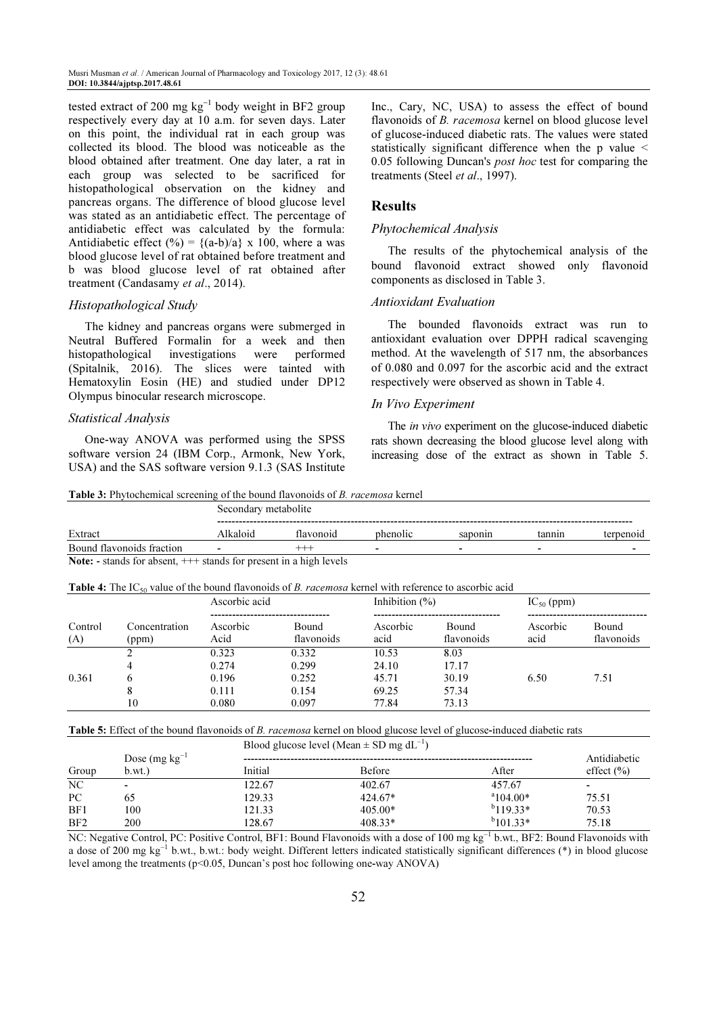tested extract of 200 mg  $kg^{-1}$  body weight in BF2 group respectively every day at 10 a.m. for seven days. Later on this point, the individual rat in each group was collected its blood. The blood was noticeable as the blood obtained after treatment. One day later, a rat in each group was selected to be sacrificed for histopathological observation on the kidney and pancreas organs. The difference of blood glucose level was stated as an antidiabetic effect. The percentage of antidiabetic effect was calculated by the formula: Antidiabetic effect (%) =  ${(a-b)/a} \times 100$ , where a was blood glucose level of rat obtained before treatment and b was blood glucose level of rat obtained after treatment (Candasamy et al., 2014).

#### Histopathological Study

The kidney and pancreas organs were submerged in Neutral Buffered Formalin for a week and then histopathological investigations were performed (Spitalnik, 2016). The slices were tainted with Hematoxylin Eosin (HE) and studied under DP12 Olympus binocular research microscope.

#### Statistical Analysis

One-way ANOVA was performed using the SPSS software version 24 (IBM Corp., Armonk, New York, USA) and the SAS software version 9.1.3 (SAS Institute Inc., Cary, NC, USA) to assess the effect of bound flavonoids of B. racemosa kernel on blood glucose level of glucose-induced diabetic rats. The values were stated statistically significant difference when the p value < 0.05 following Duncan's *post hoc* test for comparing the treatments (Steel et al., 1997).

## Results

## Phytochemical Analysis

The results of the phytochemical analysis of the bound flavonoid extract showed only flavonoid components as disclosed in Table 3.

## Antioxidant Evaluation

The bounded flavonoids extract was run to antioxidant evaluation over DPPH radical scavenging method. At the wavelength of 517 nm, the absorbances of 0.080 and 0.097 for the ascorbic acid and the extract respectively were observed as shown in Table 4.

#### In Vivo Experiment

The *in vivo* experiment on the glucose-induced diabetic rats shown decreasing the blood glucose level along with increasing dose of the extract as shown in Table 5.

Table 3: Phytochemical screening of the bound flavonoids of B. racemosa kernel

|                           | Secondary metabolite     |                 |          |         |                          |           |
|---------------------------|--------------------------|-----------------|----------|---------|--------------------------|-----------|
| Extract                   | ---------<br>Alkaloid    | <b>Havonoid</b> | phenolic | saponin | tannin                   | terpenoid |
| Bound flavonoids fraction | $\overline{\phantom{0}}$ | -----           |          | -       | $\overline{\phantom{0}}$ |           |

Note: - stands for absent, +++ stands for present in a high levels

| <b>Table 4:</b> The IC <sub>50</sub> value of the bound flavonoids of <i>B. racemosa</i> kernel with reference to ascorbic acid |  |
|---------------------------------------------------------------------------------------------------------------------------------|--|
|---------------------------------------------------------------------------------------------------------------------------------|--|

|                |                        | Ascorbic acid                             |                                           | Inhibition $(\% )$                        |                                          | $IC_{50}$ (ppm)  |                     |
|----------------|------------------------|-------------------------------------------|-------------------------------------------|-------------------------------------------|------------------------------------------|------------------|---------------------|
| Control<br>(A) | Concentration<br>(ppm) | Ascorbic<br>Acid                          | Bound<br>flavonoids                       | Ascorbic<br>acid                          | Bound<br>flavonoids                      | Ascorbic<br>acid | Bound<br>flavonoids |
| 0.361          | ↑<br>b<br>8<br>10      | 0.323<br>0.274<br>0.196<br>0.111<br>0.080 | 0.332<br>0.299<br>0.252<br>0.154<br>0.097 | 10.53<br>24.10<br>45.71<br>69.25<br>77.84 | 8.03<br>17.17<br>30.19<br>57.34<br>73.13 | 6.50             | 7.51                |

## Table 5: Effect of the bound flavonoids of B. racemosa kernel on blood glucose level of glucose-induced diabetic rats

Blood glucose level (Mean  $\pm$  SD mg dL<sup>-1</sup>)

|                 | Dose $(mg kg^{-1})$ |         |               |                   | Antidiabetic   |
|-----------------|---------------------|---------|---------------|-------------------|----------------|
| Group           | b.wt.               | Initial | <b>Before</b> | After             | effect $(\% )$ |
| N <sub>C</sub>  | $\,$                | 122.67  | 402.67        | 457.67            |                |
| PC              | 65                  | 129.33  | $424.67*$     | $^{\circ}104.00*$ | 75.51          |
| BF1             | 100                 | 121.33  | $405.00*$     | $b$ 119.33*       | 70.53          |
| BF <sub>2</sub> | <b>200</b>          | 128.67  | $408.33*$     | $b$ 101.33*       | 75.18          |

NC: Negative Control, PC: Positive Control, BF1: Bound Flavonoids with a dose of 100 mg kg<sup>-1</sup> b.wt., BF2: Bound Flavonoids with a dose of 200 mg kg<sup>-1</sup> b.wt., b.wt.: body weight. Different letters indicated statistically significant differences (\*) in blood glucose level among the treatments ( $p<0.05$ , Duncan's post hoc following one-way ANOVA)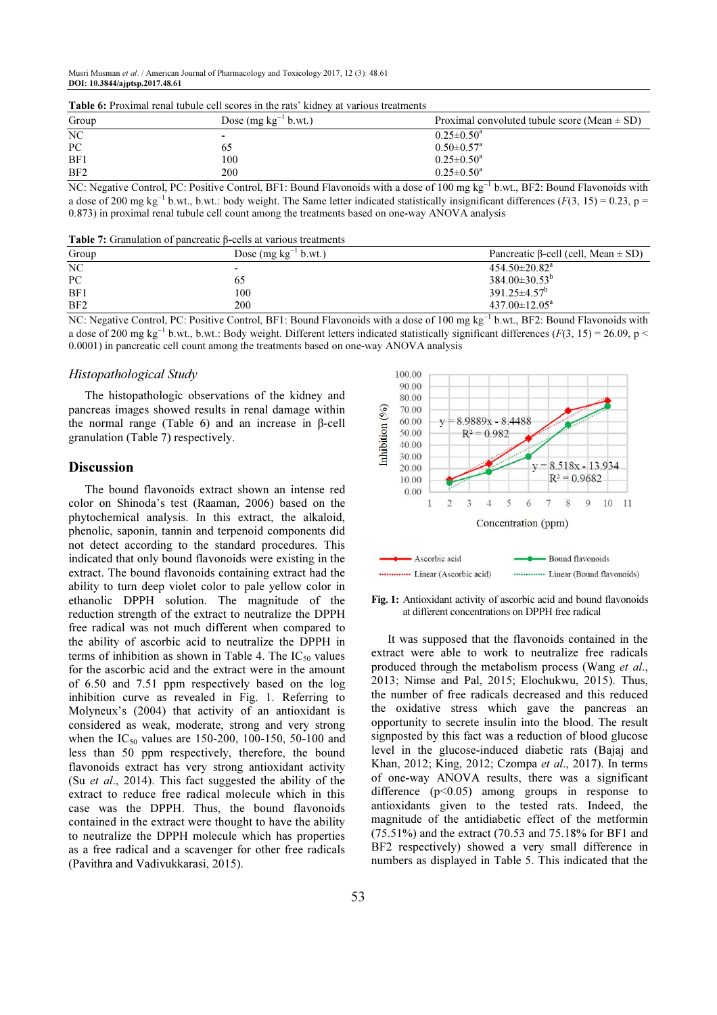Musri Musman et al. / American Journal of Pharmacology and Toxicology 2017, 12 (3): 48.61 DOI: 10.3844/ajptsp.2017.48.61

|                                            | <b>Table 0.</b> I formal fund tubule cen secres in the fals "Kidney at various treatments" |                                                  |
|--------------------------------------------|--------------------------------------------------------------------------------------------|--------------------------------------------------|
| Group                                      | Dose $(mg kg^{-1} b.wt.)$                                                                  | Proximal convoluted tubule score (Mean $\pm$ SD) |
| NC                                         |                                                                                            | $0.25 \pm 0.50^{\text{a}}$                       |
| PC                                         | 62                                                                                         | $0.50 \pm 0.57$ <sup>a</sup>                     |
| BF1                                        | 100                                                                                        | $0.25 \pm 0.50^{\text{a}}$                       |
| BF2                                        | 200                                                                                        | $0.25 \pm 0.50^a$                                |
| <b>Contract Contract Contract Contract</b> | - - -<br>.                                                                                 | .<br>.<br>----<br>$\sim$<br>.<br>_____           |

Table 6: Proximal renal tubule cell scores in the rats' kidney at various treatments

NC: Negative Control, PC: Positive Control, BF1: Bound Flavonoids with a dose of 100 mg kg<sup>-1</sup> b.wt., BF2: Bound Flavonoids with a dose of 200 mg kg<sup>-1</sup> b.wt., b.wt.: body weight. The Same letter indicated statistically insignificant differences ( $F(3, 15) = 0.23$ , p = 0.873) in proximal renal tubule cell count among the treatments based on one-way ANOVA analysis

Table 7: Granulation of pancreatic β-cells at various treatments

| Group           | Dose $(mg kg^{-1} b.wt.)$ | Pancreatic $\beta$ -cell (cell, Mean $\pm$ SD) |
|-----------------|---------------------------|------------------------------------------------|
| NC              | $\overline{\phantom{a}}$  | $454.50 \pm 20.82$ <sup>a</sup>                |
| <b>PC</b>       | 65                        | $384.00\pm30.53^b$                             |
| BF1             | 100                       | $391.25 \pm 4.57^b$                            |
| BF <sub>2</sub> | 200                       | $437.00 \pm 12.05^{\text{a}}$                  |

NC: Negative Control, PC: Positive Control, BF1: Bound Flavonoids with a dose of 100 mg kg<sup>-1</sup> b.wt., BF2: Bound Flavonoids with a dose of 200 mg kg<sup>-1</sup> b.wt., b.wt.: Body weight. Different letters indicated statistically significant differences ( $F(3, 15) = 26.09$ , p < 0.0001) in pancreatic cell count among the treatments based on one-way ANOVA analysis

## Histopathological Study

The histopathologic observations of the kidney and pancreas images showed results in renal damage within the normal range (Table 6) and an increase in β-cell granulation (Table 7) respectively.

# Discussion

The bound flavonoids extract shown an intense red color on Shinoda's test (Raaman, 2006) based on the phytochemical analysis. In this extract, the alkaloid, phenolic, saponin, tannin and terpenoid components did not detect according to the standard procedures. This indicated that only bound flavonoids were existing in the extract. The bound flavonoids containing extract had the ability to turn deep violet color to pale yellow color in ethanolic DPPH solution. The magnitude of the reduction strength of the extract to neutralize the DPPH free radical was not much different when compared to the ability of ascorbic acid to neutralize the DPPH in terms of inhibition as shown in Table 4. The  $IC_{50}$  values for the ascorbic acid and the extract were in the amount of 6.50 and 7.51 ppm respectively based on the log inhibition curve as revealed in Fig. 1. Referring to Molyneux's (2004) that activity of an antioxidant is considered as weak, moderate, strong and very strong when the  $IC_{50}$  values are 150-200, 100-150, 50-100 and less than 50 ppm respectively, therefore, the bound flavonoids extract has very strong antioxidant activity (Su *et al.*, 2014). This fact suggested the ability of the extract to reduce free radical molecule which in this case was the DPPH. Thus, the bound flavonoids contained in the extract were thought to have the ability to neutralize the DPPH molecule which has properties as a free radical and a scavenger for other free radicals (Pavithra and Vadivukkarasi, 2015).



Fig. 1: Antioxidant activity of ascorbic acid and bound flavonoids at different concentrations on DPPH free radical

It was supposed that the flavonoids contained in the extract were able to work to neutralize free radicals produced through the metabolism process (Wang et al., 2013; Nimse and Pal, 2015; Elochukwu, 2015). Thus, the number of free radicals decreased and this reduced the oxidative stress which gave the pancreas an opportunity to secrete insulin into the blood. The result signposted by this fact was a reduction of blood glucose level in the glucose-induced diabetic rats (Bajaj and Khan, 2012; King, 2012; Czompa et al., 2017). In terms of one-way ANOVA results, there was a significant difference (p<0.05) among groups in response to antioxidants given to the tested rats. Indeed, the magnitude of the antidiabetic effect of the metformin (75.51%) and the extract (70.53 and 75.18% for BF1 and BF2 respectively) showed a very small difference in numbers as displayed in Table 5. This indicated that the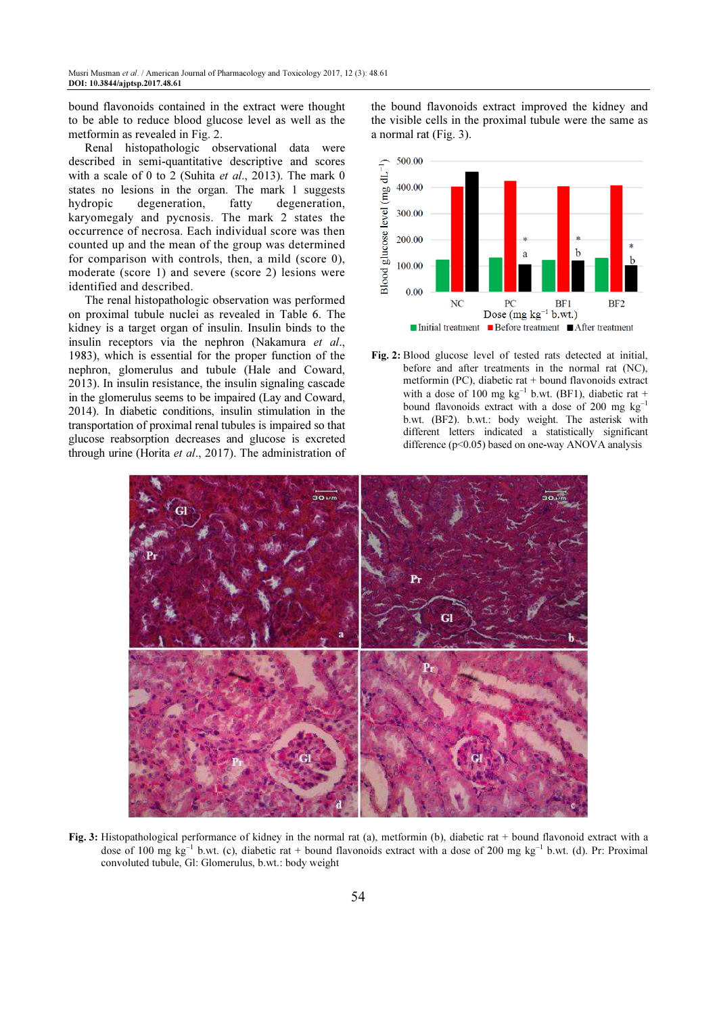bound flavonoids contained in the extract were thought to be able to reduce blood glucose level as well as the metformin as revealed in Fig. 2.

Renal histopathologic observational data were described in semi-quantitative descriptive and scores with a scale of 0 to 2 (Suhita et al., 2013). The mark 0 states no lesions in the organ. The mark 1 suggests hydropic degeneration, fatty degeneration, karyomegaly and pycnosis. The mark 2 states the occurrence of necrosa. Each individual score was then counted up and the mean of the group was determined for comparison with controls, then, a mild (score 0), moderate (score 1) and severe (score 2) lesions were identified and described.

The renal histopathologic observation was performed on proximal tubule nuclei as revealed in Table 6. The kidney is a target organ of insulin. Insulin binds to the insulin receptors via the nephron (Nakamura et al., 1983), which is essential for the proper function of the nephron, glomerulus and tubule (Hale and Coward, 2013). In insulin resistance, the insulin signaling cascade in the glomerulus seems to be impaired (Lay and Coward, 2014). In diabetic conditions, insulin stimulation in the transportation of proximal renal tubules is impaired so that glucose reabsorption decreases and glucose is excreted through urine (Horita et al., 2017). The administration of the bound flavonoids extract improved the kidney and the visible cells in the proximal tubule were the same as a normal rat (Fig. 3).



Fig. 2: Blood glucose level of tested rats detected at initial, before and after treatments in the normal rat (NC), metformin (PC), diabetic rat + bound flavonoids extract with a dose of 100 mg  $kg^{-1}$  b.wt. (BF1), diabetic rat + bound flavonoids extract with a dose of 200 mg  $kg^{-1}$ b.wt. (BF2). b.wt.: body weight. The asterisk with different letters indicated a statistically significant difference  $(p<0.05)$  based on one-way ANOVA analysis



Fig. 3: Histopathological performance of kidney in the normal rat (a), metformin (b), diabetic rat + bound flavonoid extract with a dose of 100 mg kg<sup>-1</sup> b.wt. (c), diabetic rat + bound flavonoids extract with a dose of 200 mg kg<sup>-1</sup> b.wt. (d). Pr: Proximal convoluted tubule, Gl: Glomerulus, b.wt.: body weight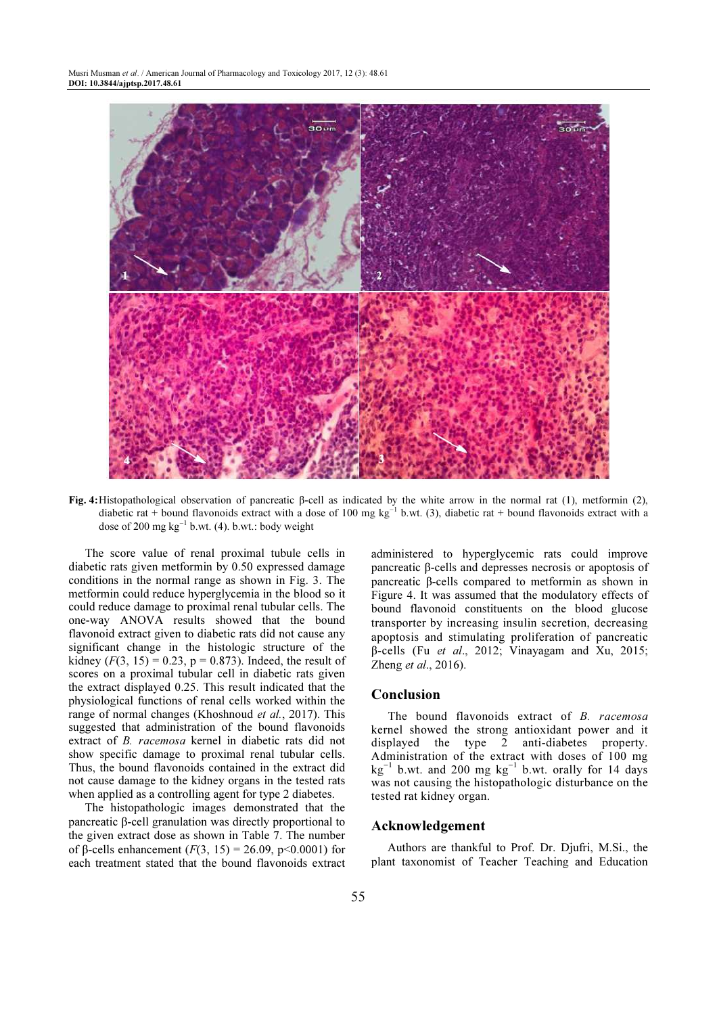

Fig. 4: Histopathological observation of pancreatic β-cell as indicated by the white arrow in the normal rat (1), metformin (2), diabetic rat + bound flavonoids extract with a dose of 100 mg kg<sup>-1</sup> b.wt. (3), diabetic rat + bound flavonoids extract with a dose of 200 mg  $kg^{-1}$  b.wt. (4). b.wt.: body weight

The score value of renal proximal tubule cells in diabetic rats given metformin by 0.50 expressed damage conditions in the normal range as shown in Fig. 3. The metformin could reduce hyperglycemia in the blood so it could reduce damage to proximal renal tubular cells. The one-way ANOVA results showed that the bound flavonoid extract given to diabetic rats did not cause any significant change in the histologic structure of the kidney ( $F(3, 15) = 0.23$ ,  $p = 0.873$ ). Indeed, the result of scores on a proximal tubular cell in diabetic rats given the extract displayed 0.25. This result indicated that the physiological functions of renal cells worked within the range of normal changes (Khoshnoud *et al.*, 2017). This suggested that administration of the bound flavonoids extract of B. racemosa kernel in diabetic rats did not show specific damage to proximal renal tubular cells. Thus, the bound flavonoids contained in the extract did not cause damage to the kidney organs in the tested rats when applied as a controlling agent for type 2 diabetes.

The histopathologic images demonstrated that the pancreatic β-cell granulation was directly proportional to the given extract dose as shown in Table 7. The number of β-cells enhancement  $(F(3, 15) = 26.09, p < 0.0001)$  for each treatment stated that the bound flavonoids extract administered to hyperglycemic rats could improve pancreatic β-cells and depresses necrosis or apoptosis of pancreatic β-cells compared to metformin as shown in Figure 4. It was assumed that the modulatory effects of bound flavonoid constituents on the blood glucose transporter by increasing insulin secretion, decreasing apoptosis and stimulating proliferation of pancreatic β-cells (Fu et al., 2012; Vinayagam and Xu, 2015; Zheng et al., 2016).

## Conclusion

The bound flavonoids extract of B. racemosa kernel showed the strong antioxidant power and it displayed the type 2 anti-diabetes property. Administration of the extract with doses of 100 mg  $\text{kg}^{-1}$  b.wt. and 200 mg  $\text{kg}^{-1}$  b.wt. orally for 14 days was not causing the histopathologic disturbance on the tested rat kidney organ.

# Acknowledgement

Authors are thankful to Prof. Dr. Djufri, M.Si., the plant taxonomist of Teacher Teaching and Education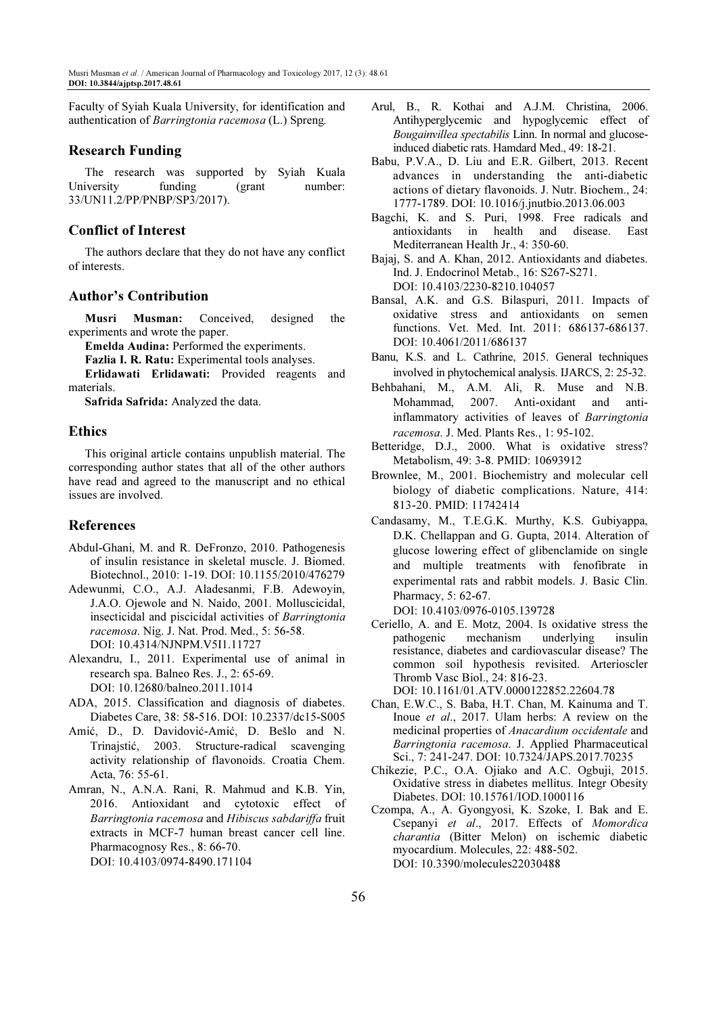Faculty of Syiah Kuala University, for identification and authentication of Barringtonia racemosa (L.) Spreng.

# Research Funding

The research was supported by Syiah Kuala University funding (grant number: 33/UN11.2/PP/PNBP/SP3/2017).

# Conflict of Interest

The authors declare that they do not have any conflict of interests.

# Author's Contribution

Musri Musman: Conceived, designed the experiments and wrote the paper.

Emelda Audina: Performed the experiments.

Fazlia I. R. Ratu: Experimental tools analyses.

Erlidawati Erlidawati: Provided reagents and materials.

Safrida Safrida: Analyzed the data.

# Ethics

This original article contains unpublish material. The corresponding author states that all of the other authors have read and agreed to the manuscript and no ethical issues are involved.

# References

- Abdul-Ghani, M. and R. DeFronzo, 2010. Pathogenesis of insulin resistance in skeletal muscle. J. Biomed. Biotechnol., 2010: 1-19. DOI: 10.1155/2010/476279
- Adewunmi, C.O., A.J. Aladesanmi, F.B. Adewoyin, J.A.O. Ojewole and N. Naido, 2001. Molluscicidal, insecticidal and piscicidal activities of Barringtonia racemosa. Nig. J. Nat. Prod. Med., 5: 56-58. DOI: 10.4314/NJNPM.V5I1.11727
- Alexandru, I., 2011. Experimental use of animal in research spa. Balneo Res. J., 2: 65-69. DOI: 10.12680/balneo.2011.1014
- ADA, 2015. Classification and diagnosis of diabetes. Diabetes Care, 38: 58-516. DOI: 10.2337/dc15-S005
- Amić, D., D. Davidović-Amić, D. Bešlo and N. Trinajstić, 2003. Structure-radical scavenging activity relationship of flavonoids. Croatia Chem. Acta, 76: 55-61.
- Amran, N., A.N.A. Rani, R. Mahmud and K.B. Yin, 2016. Antioxidant and cytotoxic effect of Barringtonia racemosa and Hibiscus sabdariffa fruit extracts in MCF-7 human breast cancer cell line. Pharmacognosy Res., 8: 66-70. DOI: 10.4103/0974-8490.171104
- Arul, B., R. Kothai and A.J.M. Christina, 2006. Antihyperglycemic and hypoglycemic effect of Bougainvillea spectabilis Linn. In normal and glucoseinduced diabetic rats. Hamdard Med., 49: 18-21.
- Babu, P.V.A., D. Liu and E.R. Gilbert, 2013. Recent advances in understanding the anti-diabetic actions of dietary flavonoids. J. Nutr. Biochem., 24: 1777-1789. DOI: 10.1016/j.jnutbio.2013.06.003
- Bagchi, K. and S. Puri, 1998. Free radicals and antioxidants in health and disease. East Mediterranean Health Jr., 4: 350-60.
- Bajaj, S. and A. Khan, 2012. Antioxidants and diabetes. Ind. J. Endocrinol Metab., 16: S267-S271. DOI: 10.4103/2230-8210.104057
- Bansal, A.K. and G.S. Bilaspuri, 2011. Impacts of oxidative stress and antioxidants on semen functions. Vet. Med. Int. 2011: 686137-686137. DOI: 10.4061/2011/686137
- Banu, K.S. and L. Cathrine, 2015. General techniques involved in phytochemical analysis. IJARCS, 2: 25-32.
- Behbahani, M., A.M. Ali, R. Muse and N.B. Mohammad, 2007. Anti-oxidant and antiinflammatory activities of leaves of Barringtonia racemosa. J. Med. Plants Res., 1: 95-102.
- Betteridge, D.J., 2000. What is oxidative stress? Metabolism, 49: 3-8. PMID: 10693912
- Brownlee, M., 2001. Biochemistry and molecular cell biology of diabetic complications. Nature, 414: 813-20. PMID: 11742414
- Candasamy, M., T.E.G.K. Murthy, K.S. Gubiyappa, D.K. Chellappan and G. Gupta, 2014. Alteration of glucose lowering effect of glibenclamide on single and multiple treatments with fenofibrate in experimental rats and rabbit models. J. Basic Clin. Pharmacy, 5: 62-67.

DOI: 10.4103/0976-0105.139728

Ceriello, A. and E. Motz, 2004. Is oxidative stress the pathogenic mechanism underlying insulin resistance, diabetes and cardiovascular disease? The common soil hypothesis revisited. Arterioscler Thromb Vasc Biol., 24: 816-23.

DOI: 10.1161/01.ATV.0000122852.22604.78

- Chan, E.W.C., S. Baba, H.T. Chan, M. Kainuma and T. Inoue et al., 2017. Ulam herbs: A review on the medicinal properties of Anacardium occidentale and Barringtonia racemosa. J. Applied Pharmaceutical Sci., 7: 241-247. DOI: 10.7324/JAPS.2017.70235
- Chikezie, P.C., O.A. Ojiako and A.C. Ogbuji, 2015. Oxidative stress in diabetes mellitus. Integr Obesity Diabetes. DOI: 10.15761/IOD.1000116
- Czompa, A., A. Gyongyosi, K. Szoke, I. Bak and E. Csepanyi et al., 2017. Effects of Momordica charantia (Bitter Melon) on ischemic diabetic myocardium. Molecules, 22: 488-502. DOI: 10.3390/molecules22030488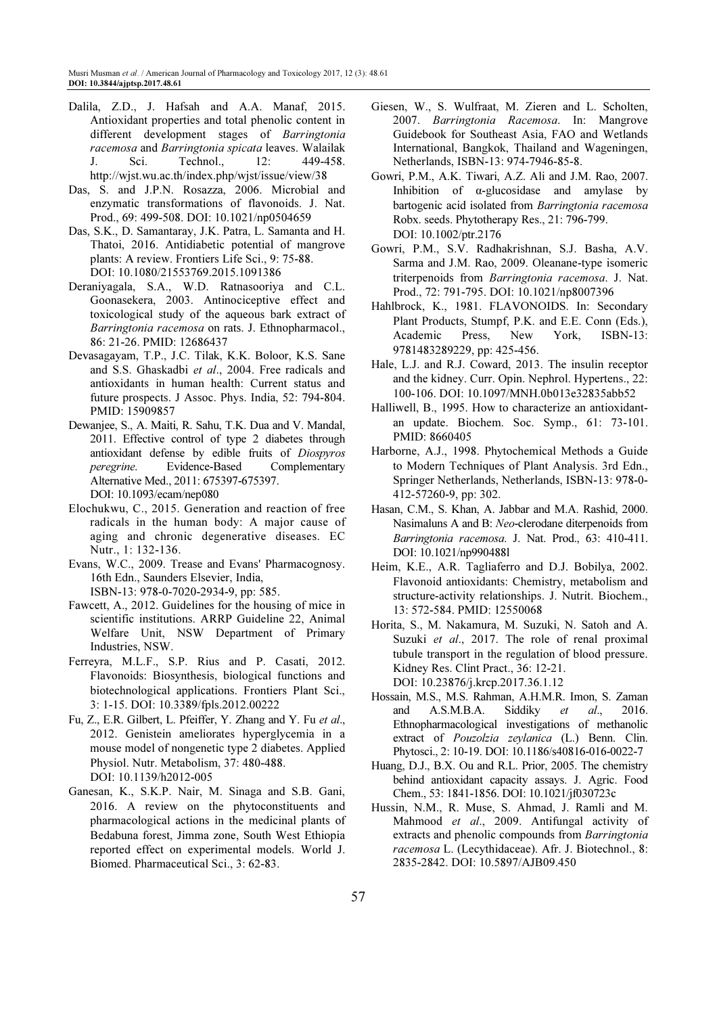- Dalila, Z.D., J. Hafsah and A.A. Manaf, 2015. Antioxidant properties and total phenolic content in different development stages of Barringtonia racemosa and Barringtonia spicata leaves. Walailak J. Sci. Technol., 12: 449-458. http://wjst.wu.ac.th/index.php/wjst/issue/view/38
- Das, S. and J.P.N. Rosazza, 2006. Microbial and enzymatic transformations of flavonoids. J. Nat. Prod., 69: 499-508. DOI: 10.1021/np0504659
- Das, S.K., D. Samantaray, J.K. Patra, L. Samanta and H. Thatoi, 2016. Antidiabetic potential of mangrove plants: A review. Frontiers Life Sci., 9: 75-88. DOI: 10.1080/21553769.2015.1091386
- Deraniyagala, S.A., W.D. Ratnasooriya and C.L. Goonasekera, 2003. Antinociceptive effect and toxicological study of the aqueous bark extract of Barringtonia racemosa on rats. J. Ethnopharmacol., 86: 21-26. PMID: 12686437
- Devasagayam, T.P., J.C. Tilak, K.K. Boloor, K.S. Sane and S.S. Ghaskadbi et al., 2004. Free radicals and antioxidants in human health: Current status and future prospects. J Assoc. Phys. India, 52: 794-804. PMID: 15909857
- Dewanjee, S., A. Maiti, R. Sahu, T.K. Dua and V. Mandal, 2011. Effective control of type 2 diabetes through antioxidant defense by edible fruits of Diospyros peregrine. Evidence-Based Complementary Alternative Med., 2011: 675397-675397. DOI: 10.1093/ecam/nep080
- Elochukwu, C., 2015. Generation and reaction of free radicals in the human body: A major cause of aging and chronic degenerative diseases. EC Nutr., 1: 132-136.
- Evans, W.C., 2009. Trease and Evans' Pharmacognosy. 16th Edn., Saunders Elsevier, India, ISBN-13: 978-0-7020-2934-9, pp: 585.
- Fawcett, A., 2012. Guidelines for the housing of mice in scientific institutions. ARRP Guideline 22, Animal Welfare Unit, NSW Department of Primary Industries, NSW.
- Ferreyra, M.L.F., S.P. Rius and P. Casati, 2012. Flavonoids: Biosynthesis, biological functions and biotechnological applications. Frontiers Plant Sci., 3: 1-15. DOI: 10.3389/fpls.2012.00222
- Fu, Z., E.R. Gilbert, L. Pfeiffer, Y. Zhang and Y. Fu et al., 2012. Genistein ameliorates hyperglycemia in a mouse model of nongenetic type 2 diabetes. Applied Physiol. Nutr. Metabolism, 37: 480-488. DOI: 10.1139/h2012-005
- Ganesan, K., S.K.P. Nair, M. Sinaga and S.B. Gani, 2016. A review on the phytoconstituents and pharmacological actions in the medicinal plants of Bedabuna forest, Jimma zone, South West Ethiopia reported effect on experimental models. World J. Biomed. Pharmaceutical Sci., 3: 62-83.
- Giesen, W., S. Wulfraat, M. Zieren and L. Scholten, 2007. Barringtonia Racemosa. In: Mangrove Guidebook for Southeast Asia, FAO and Wetlands International, Bangkok, Thailand and Wageningen, Netherlands, ISBN-13: 974-7946-85-8.
- Gowri, P.M., A.K. Tiwari, A.Z. Ali and J.M. Rao, 2007. Inhibition of α-glucosidase and amylase by bartogenic acid isolated from Barringtonia racemosa Robx. seeds. Phytotherapy Res., 21: 796-799. DOI: 10.1002/ptr.2176
- Gowri, P.M., S.V. Radhakrishnan, S.J. Basha, A.V. Sarma and J.M. Rao, 2009. Oleanane-type isomeric triterpenoids from Barringtonia racemosa. J. Nat. Prod., 72: 791-795. DOI: 10.1021/np8007396
- Hahlbrock, K., 1981. FLAVONOIDS. In: Secondary Plant Products, Stumpf, P.K. and E.E. Conn (Eds.), Academic Press, New York, ISBN-13: 9781483289229, pp: 425-456.
- Hale, L.J. and R.J. Coward, 2013. The insulin receptor and the kidney. Curr. Opin. Nephrol. Hypertens., 22: 100-106. DOI: 10.1097/MNH.0b013e32835abb52
- Halliwell, B., 1995. How to characterize an antioxidantan update. Biochem. Soc. Symp., 61: 73-101. PMID: 8660405
- Harborne, A.J., 1998. Phytochemical Methods a Guide to Modern Techniques of Plant Analysis. 3rd Edn., Springer Netherlands, Netherlands, ISBN-13: 978-0- 412-57260-9, pp: 302.
- Hasan, C.M., S. Khan, A. Jabbar and M.A. Rashid, 2000. Nasimaluns A and B: Neo-clerodane diterpenoids from Barringtonia racemosa. J. Nat. Prod., 63: 410-411. DOI: 10.1021/np990488l
- Heim, K.E., A.R. Tagliaferro and D.J. Bobilya, 2002. Flavonoid antioxidants: Chemistry, metabolism and structure-activity relationships. J. Nutrit. Biochem., 13: 572-584. PMID: 12550068
- Horita, S., M. Nakamura, M. Suzuki, N. Satoh and A. Suzuki et al., 2017. The role of renal proximal tubule transport in the regulation of blood pressure. Kidney Res. Clint Pract., 36: 12-21. DOI: 10.23876/j.krcp.2017.36.1.12
- Hossain, M.S., M.S. Rahman, A.H.M.R. Imon, S. Zaman and A.S.M.B.A. Siddiky et al., 2016. Ethnopharmacological investigations of methanolic extract of Pouzolzia zeylanica (L.) Benn. Clin. Phytosci., 2: 10-19. DOI: 10.1186/s40816-016-0022-7
- Huang, D.J., B.X. Ou and R.L. Prior, 2005. The chemistry behind antioxidant capacity assays. J. Agric. Food Chem., 53: 1841-1856. DOI: 10.1021/jf030723c
- Hussin, N.M., R. Muse, S. Ahmad, J. Ramli and M. Mahmood et al., 2009. Antifungal activity of extracts and phenolic compounds from Barringtonia racemosa L. (Lecythidaceae). Afr. J. Biotechnol., 8: 2835-2842. DOI: 10.5897/AJB09.450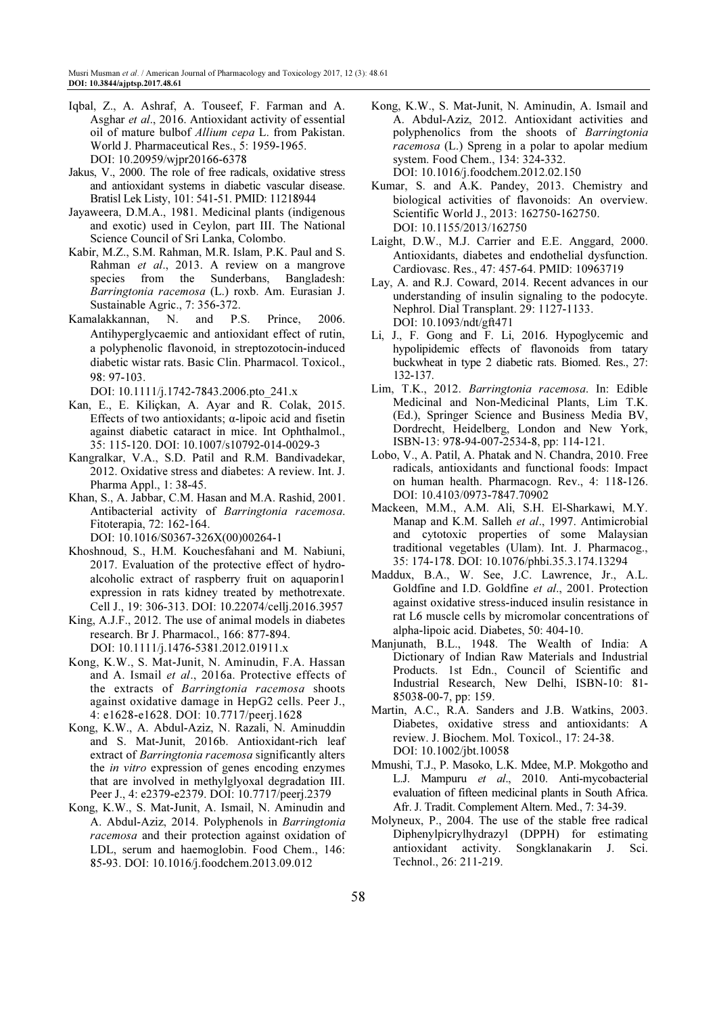- Iqbal, Z., A. Ashraf, A. Touseef, F. Farman and A. Asghar et al., 2016. Antioxidant activity of essential oil of mature bulbof Allium cepa L. from Pakistan. World J. Pharmaceutical Res., 5: 1959-1965. DOI: 10.20959/wjpr20166-6378
- Jakus, V., 2000. The role of free radicals, oxidative stress and antioxidant systems in diabetic vascular disease. Bratisl Lek Listy, 101: 541-51. PMID: 11218944
- Jayaweera, D.M.A., 1981. Medicinal plants (indigenous and exotic) used in Ceylon, part III. The National Science Council of Sri Lanka, Colombo.
- Kabir, M.Z., S.M. Rahman, M.R. Islam, P.K. Paul and S. Rahman et al., 2013. A review on a mangrove species from the Sunderbans, Bangladesh: Barringtonia racemosa (L.) roxb. Am. Eurasian J. Sustainable Agric., 7: 356-372.
- Kamalakkannan, N. and P.S. Prince, 2006. Antihyperglycaemic and antioxidant effect of rutin, a polyphenolic flavonoid, in streptozotocin-induced diabetic wistar rats. Basic Clin. Pharmacol. Toxicol., 98: 97-103.

DOI: 10.1111/j.1742-7843.2006.pto 241.x

- Kan, E., E. Kiliçkan, A. Ayar and R. Colak, 2015. Effects of two antioxidants;  $\alpha$ -lipoic acid and fisetin against diabetic cataract in mice. Int Ophthalmol., 35: 115-120. DOI: 10.1007/s10792-014-0029-3
- Kangralkar, V.A., S.D. Patil and R.M. Bandivadekar, 2012. Oxidative stress and diabetes: A review. Int. J. Pharma Appl., 1: 38-45.
- Khan, S., A. Jabbar, C.M. Hasan and M.A. Rashid, 2001. Antibacterial activity of Barringtonia racemosa. Fitoterapia, 72: 162-164. DOI: 10.1016/S0367-326X(00)00264-1
- Khoshnoud, S., H.M. Kouchesfahani and M. Nabiuni, 2017. Evaluation of the protective effect of hydroalcoholic extract of raspberry fruit on aquaporin1 expression in rats kidney treated by methotrexate. Cell J., 19: 306-313. DOI: 10.22074/cellj.2016.3957
- King, A.J.F., 2012. The use of animal models in diabetes research. Br J. Pharmacol., 166: 877-894. DOI: 10.1111/j.1476-5381.2012.01911.x
- Kong, K.W., S. Mat-Junit, N. Aminudin, F.A. Hassan and A. Ismail et al., 2016a. Protective effects of the extracts of Barringtonia racemosa shoots against oxidative damage in HepG2 cells. Peer J., 4: e1628-e1628. DOI: 10.7717/peerj.1628
- Kong, K.W., A. Abdul-Aziz, N. Razali, N. Aminuddin and S. Mat-Junit, 2016b. Antioxidant-rich leaf extract of Barringtonia racemosa significantly alters the in vitro expression of genes encoding enzymes that are involved in methylglyoxal degradation III. Peer J., 4: e2379-e2379. DOI: 10.7717/peerj.2379
- Kong, K.W., S. Mat-Junit, A. Ismail, N. Aminudin and A. Abdul-Aziz, 2014. Polyphenols in Barringtonia racemosa and their protection against oxidation of LDL, serum and haemoglobin. Food Chem., 146: 85-93. DOI: 10.1016/j.foodchem.2013.09.012
- Kong, K.W., S. Mat-Junit, N. Aminudin, A. Ismail and A. Abdul-Aziz, 2012. Antioxidant activities and polyphenolics from the shoots of Barringtonia racemosa (L.) Spreng in a polar to apolar medium system. Food Chem., 134: 324-332. DOI: 10.1016/j.foodchem.2012.02.150
- Kumar, S. and A.K. Pandey, 2013. Chemistry and biological activities of flavonoids: An overview. Scientific World J., 2013: 162750-162750. DOI: 10.1155/2013/162750
- Laight, D.W., M.J. Carrier and E.E. Anggard, 2000. Antioxidants, diabetes and endothelial dysfunction. Cardiovasc. Res., 47: 457-64. PMID: 10963719
- Lay, A. and R.J. Coward, 2014. Recent advances in our understanding of insulin signaling to the podocyte. Nephrol. Dial Transplant. 29: 1127-1133. DOI: 10.1093/ndt/gft471
- Li, J., F. Gong and F. Li, 2016. Hypoglycemic and hypolipidemic effects of flavonoids from tatary buckwheat in type 2 diabetic rats. Biomed. Res., 27: 132-137.
- Lim, T.K., 2012. Barringtonia racemosa. In: Edible Medicinal and Non-Medicinal Plants, Lim T.K. (Ed.), Springer Science and Business Media BV, Dordrecht, Heidelberg, London and New York, ISBN-13: 978-94-007-2534-8, pp: 114-121.
- Lobo, V., A. Patil, A. Phatak and N. Chandra, 2010. Free radicals, antioxidants and functional foods: Impact on human health. Pharmacogn. Rev., 4: 118-126. DOI: 10.4103/0973-7847.70902
- Mackeen, M.M., A.M. Ali, S.H. El-Sharkawi, M.Y. Manap and K.M. Salleh et al., 1997. Antimicrobial and cytotoxic properties of some Malaysian traditional vegetables (Ulam). Int. J. Pharmacog., 35: 174-178. DOI: 10.1076/phbi.35.3.174.13294
- Maddux, B.A., W. See, J.C. Lawrence, Jr., A.L. Goldfine and I.D. Goldfine et al., 2001. Protection against oxidative stress-induced insulin resistance in rat L6 muscle cells by micromolar concentrations of alpha-lipoic acid. Diabetes, 50: 404-10.
- Manjunath, B.L., 1948. The Wealth of India: A Dictionary of Indian Raw Materials and Industrial Products. 1st Edn., Council of Scientific and Industrial Research, New Delhi, ISBN-10: 81- 85038-00-7, pp: 159.
- Martin, A.C., R.A. Sanders and J.B. Watkins, 2003. Diabetes, oxidative stress and antioxidants: A review. J. Biochem. Mol. Toxicol., 17: 24-38. DOI: 10.1002/jbt.10058
- Mmushi, T.J., P. Masoko, L.K. Mdee, M.P. Mokgotho and L.J. Mampuru et al., 2010. Anti-mycobacterial evaluation of fifteen medicinal plants in South Africa. Afr. J. Tradit. Complement Altern. Med., 7: 34-39.
- Molyneux, P., 2004. The use of the stable free radical Diphenylpicrylhydrazyl (DPPH) for estimating antioxidant activity. Songklanakarin J. Sci. Technol., 26: 211-219.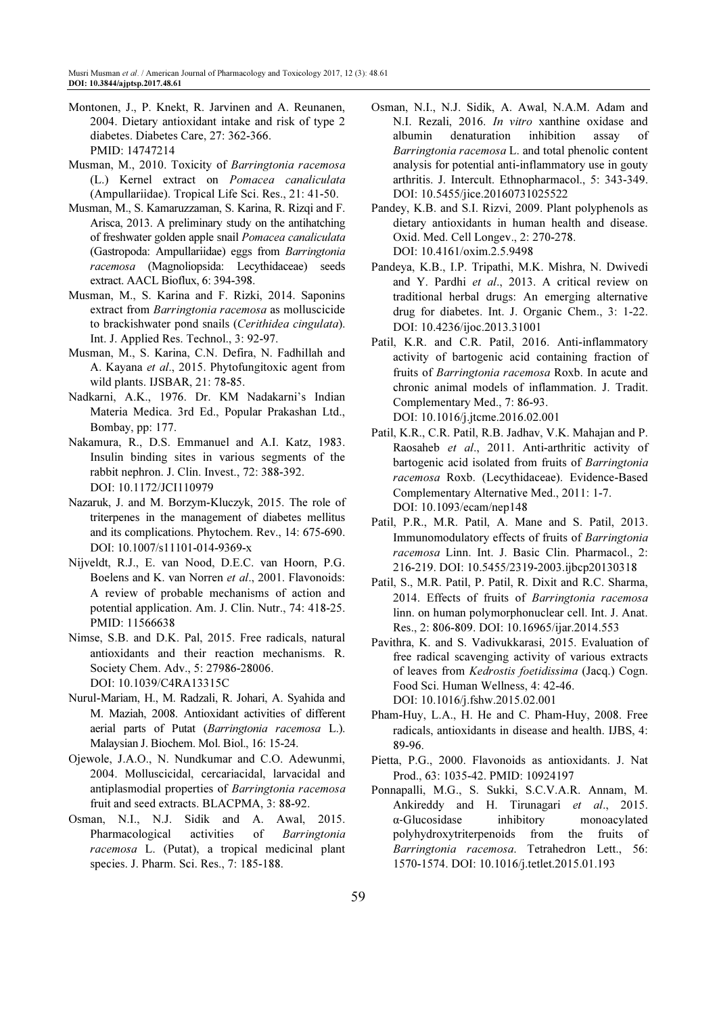- Montonen, J., P. Knekt, R. Jarvinen and A. Reunanen, 2004. Dietary antioxidant intake and risk of type 2 diabetes. Diabetes Care, 27: 362-366. PMID: 14747214
- Musman, M., 2010. Toxicity of Barringtonia racemosa (L.) Kernel extract on Pomacea canaliculata (Ampullariidae). Tropical Life Sci. Res., 21: 41-50.
- Musman, M., S. Kamaruzzaman, S. Karina, R. Rizqi and F. Arisca, 2013. A preliminary study on the antihatching of freshwater golden apple snail Pomacea canaliculata (Gastropoda: Ampullariidae) eggs from Barringtonia racemosa (Magnoliopsida: Lecythidaceae) seeds extract. AACL Bioflux, 6: 394-398.
- Musman, M., S. Karina and F. Rizki, 2014. Saponins extract from Barringtonia racemosa as molluscicide to brackishwater pond snails (Cerithidea cingulata). Int. J. Applied Res. Technol., 3: 92-97.
- Musman, M., S. Karina, C.N. Defira, N. Fadhillah and A. Kayana et al., 2015. Phytofungitoxic agent from wild plants. IJSBAR, 21: 78-85.
- Nadkarni, A.K., 1976. Dr. KM Nadakarni's Indian Materia Medica. 3rd Ed., Popular Prakashan Ltd., Bombay, pp: 177.
- Nakamura, R., D.S. Emmanuel and A.I. Katz, 1983. Insulin binding sites in various segments of the rabbit nephron. J. Clin. Invest., 72: 388-392. DOI: 10.1172/JCI110979
- Nazaruk, J. and M. Borzym-Kluczyk, 2015. The role of triterpenes in the management of diabetes mellitus and its complications. Phytochem. Rev., 14: 675-690. DOI: 10.1007/s11101-014-9369-x
- Nijveldt, R.J., E. van Nood, D.E.C. van Hoorn, P.G. Boelens and K. van Norren et al., 2001. Flavonoids: A review of probable mechanisms of action and potential application. Am. J. Clin. Nutr., 74: 418-25. PMID: 11566638
- Nimse, S.B. and D.K. Pal, 2015. Free radicals, natural antioxidants and their reaction mechanisms. R. Society Chem. Adv., 5: 27986-28006. DOI: 10.1039/C4RA13315C
- Nurul-Mariam, H., M. Radzali, R. Johari, A. Syahida and M. Maziah, 2008. Antioxidant activities of different aerial parts of Putat (Barringtonia racemosa L.). Malaysian J. Biochem. Mol. Biol., 16: 15-24.
- Ojewole, J.A.O., N. Nundkumar and C.O. Adewunmi, 2004. Molluscicidal, cercariacidal, larvacidal and antiplasmodial properties of Barringtonia racemosa fruit and seed extracts. BLACPMA, 3: 88-92.
- Osman, N.I., N.J. Sidik and A. Awal, 2015. Pharmacological activities of Barringtonia racemosa L. (Putat), a tropical medicinal plant species. J. Pharm. Sci. Res., 7: 185-188.
- Osman, N.I., N.J. Sidik, A. Awal, N.A.M. Adam and N.I. Rezali, 2016. In vitro xanthine oxidase and albumin denaturation inhibition assay of Barringtonia racemosa L. and total phenolic content analysis for potential anti-inflammatory use in gouty arthritis. J. Intercult. Ethnopharmacol., 5: 343-349. DOI: 10.5455/jice.20160731025522
- Pandey, K.B. and S.I. Rizvi, 2009. Plant polyphenols as dietary antioxidants in human health and disease. Oxid. Med. Cell Longev., 2: 270-278. DOI: 10.4161/oxim.2.5.9498
- Pandeya, K.B., I.P. Tripathi, M.K. Mishra, N. Dwivedi and Y. Pardhi et al., 2013. A critical review on traditional herbal drugs: An emerging alternative drug for diabetes. Int. J. Organic Chem., 3: 1-22. DOI: 10.4236/ijoc.2013.31001
- Patil, K.R. and C.R. Patil, 2016. Anti-inflammatory activity of bartogenic acid containing fraction of fruits of Barringtonia racemosa Roxb. In acute and chronic animal models of inflammation. J. Tradit. Complementary Med., 7: 86-93. DOI: 10.1016/j.jtcme.2016.02.001
- Patil, K.R., C.R. Patil, R.B. Jadhav, V.K. Mahajan and P. Raosaheb et al., 2011. Anti-arthritic activity of bartogenic acid isolated from fruits of Barringtonia racemosa Roxb. (Lecythidaceae). Evidence-Based Complementary Alternative Med., 2011: 1-7. DOI: 10.1093/ecam/nep148
- Patil, P.R., M.R. Patil, A. Mane and S. Patil, 2013. Immunomodulatory effects of fruits of Barringtonia racemosa Linn. Int. J. Basic Clin. Pharmacol., 2: 216-219. DOI: 10.5455/2319-2003.ijbcp20130318
- Patil, S., M.R. Patil, P. Patil, R. Dixit and R.C. Sharma, 2014. Effects of fruits of Barringtonia racemosa linn. on human polymorphonuclear cell. Int. J. Anat. Res., 2: 806-809. DOI: 10.16965/ijar.2014.553
- Pavithra, K. and S. Vadivukkarasi, 2015. Evaluation of free radical scavenging activity of various extracts of leaves from Kedrostis foetidissima (Jacq.) Cogn. Food Sci. Human Wellness, 4: 42-46. DOI: 10.1016/j.fshw.2015.02.001
- Pham-Huy, L.A., H. He and C. Pham-Huy, 2008. Free radicals, antioxidants in disease and health. IJBS, 4: 89-96.
- Pietta, P.G., 2000. Flavonoids as antioxidants. J. Nat Prod., 63: 1035-42. PMID: 10924197
- Ponnapalli, M.G., S. Sukki, S.C.V.A.R. Annam, M. Ankireddy and H. Tirunagari et al., 2015. α‐Glucosidase inhibitory monoacylated polyhydroxytriterpenoids from the fruits of Barringtonia racemosa. Tetrahedron Lett., 56: 1570-1574. DOI: 10.1016/j.tetlet.2015.01.193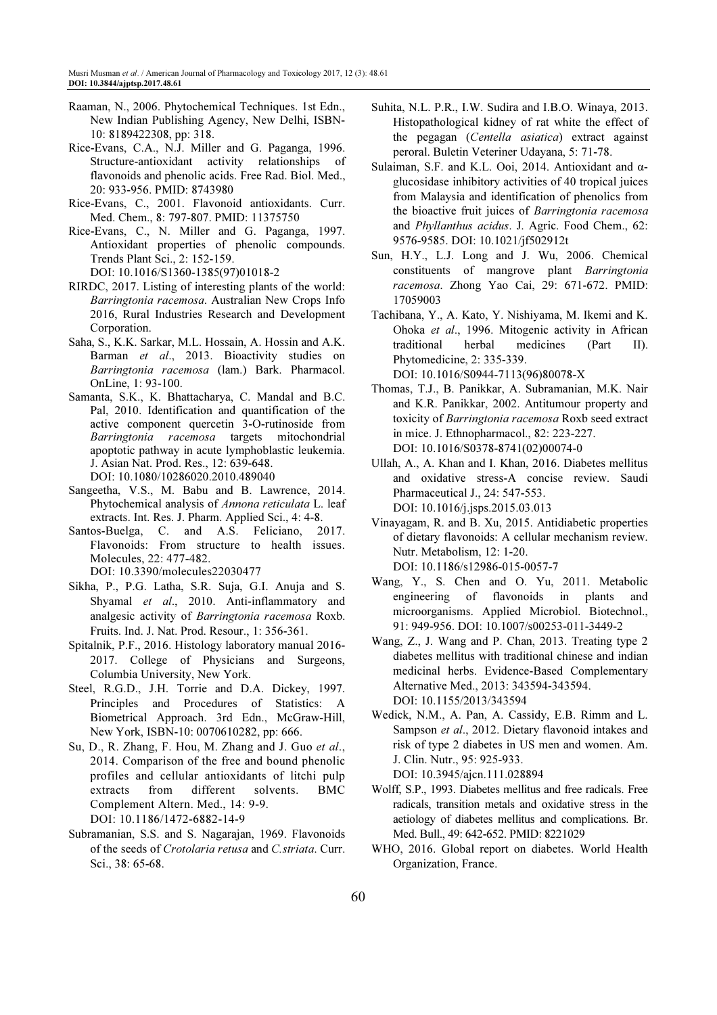- Raaman, N., 2006. Phytochemical Techniques. 1st Edn., New Indian Publishing Agency, New Delhi, ISBN-10: 8189422308, pp: 318.
- Rice-Evans, C.A., N.J. Miller and G. Paganga, 1996. Structure-antioxidant activity relationships of flavonoids and phenolic acids. Free Rad. Biol. Med., 20: 933-956. PMID: 8743980
- Rice-Evans, C., 2001. Flavonoid antioxidants. Curr. Med. Chem., 8: 797-807. PMID: 11375750
- Rice-Evans, C., N. Miller and G. Paganga, 1997. Antioxidant properties of phenolic compounds. Trends Plant Sci., 2: 152-159. DOI: 10.1016/S1360-1385(97)01018-2
- RIRDC, 2017. Listing of interesting plants of the world: Barringtonia racemosa. Australian New Crops Info 2016, Rural Industries Research and Development Corporation.
- Saha, S., K.K. Sarkar, M.L. Hossain, A. Hossin and A.K. Barman et al., 2013. Bioactivity studies on Barringtonia racemosa (lam.) Bark. Pharmacol. OnLine, 1: 93-100.
- Samanta, S.K., K. Bhattacharya, C. Mandal and B.C. Pal, 2010. Identification and quantification of the active component quercetin 3-O-rutinoside from Barringtonia racemosa targets mitochondrial apoptotic pathway in acute lymphoblastic leukemia. J. Asian Nat. Prod. Res., 12: 639-648. DOI: 10.1080/10286020.2010.489040
- Sangeetha, V.S., M. Babu and B. Lawrence, 2014. Phytochemical analysis of Annona reticulata L. leaf extracts. Int. Res. J. Pharm. Applied Sci., 4: 4-8.
- Santos-Buelga, C. and A.S. Feliciano, 2017. Flavonoids: From structure to health issues. Molecules, 22: 477-482. DOI: 10.3390/molecules22030477
- Sikha, P., P.G. Latha, S.R. Suja, G.I. Anuja and S. Shyamal et al., 2010. Anti-inflammatory and analgesic activity of Barringtonia racemosa Roxb. Fruits. Ind. J. Nat. Prod. Resour., 1: 356-361.
- Spitalnik, P.F., 2016. Histology laboratory manual 2016- 2017. College of Physicians and Surgeons, Columbia University, New York.
- Steel, R.G.D., J.H. Torrie and D.A. Dickey, 1997. Principles and Procedures of Statistics: A Biometrical Approach. 3rd Edn., McGraw-Hill, New York, ISBN-10: 0070610282, pp: 666.
- Su, D., R. Zhang, F. Hou, M. Zhang and J. Guo et al., 2014. Comparison of the free and bound phenolic profiles and cellular antioxidants of litchi pulp extracts from different solvents. BMC Complement Altern. Med., 14: 9-9. DOI: 10.1186/1472-6882-14-9
- Subramanian, S.S. and S. Nagarajan, 1969. Flavonoids of the seeds of Crotolaria retusa and C.striata. Curr. Sci., 38: 65-68.
- Suhita, N.L. P.R., I.W. Sudira and I.B.O. Winaya, 2013. Histopathological kidney of rat white the effect of the pegagan (Centella asiatica) extract against peroral. Buletin Veteriner Udayana, 5: 71-78.
- Sulaiman, S.F. and K.L. Ooi, 2014. Antioxidant and αglucosidase inhibitory activities of 40 tropical juices from Malaysia and identification of phenolics from the bioactive fruit juices of Barringtonia racemosa and Phyllanthus acidus. J. Agric. Food Chem., 62: 9576-9585. DOI: 10.1021/jf502912t
- Sun, H.Y., L.J. Long and J. Wu, 2006. Chemical constituents of mangrove plant Barringtonia racemosa. Zhong Yao Cai, 29: 671-672. PMID: 17059003
- Tachibana, Y., A. Kato, Y. Nishiyama, M. Ikemi and K. Ohoka et al., 1996. Mitogenic activity in African traditional herbal medicines (Part II). Phytomedicine, 2: 335-339. DOI: 10.1016/S0944-7113(96)80078-X
- Thomas, T.J., B. Panikkar, A. Subramanian, M.K. Nair and K.R. Panikkar, 2002. Antitumour property and toxicity of Barringtonia racemosa Roxb seed extract in mice. J. Ethnopharmacol., 82: 223-227. DOI: 10.1016/S0378-8741(02)00074-0
- Ullah, A., A. Khan and I. Khan, 2016. Diabetes mellitus and oxidative stress-A concise review. Saudi Pharmaceutical J., 24: 547-553. DOI: 10.1016/j.jsps.2015.03.013
- Vinayagam, R. and B. Xu, 2015. Antidiabetic properties of dietary flavonoids: A cellular mechanism review. Nutr. Metabolism, 12: 1-20. DOI: 10.1186/s12986-015-0057-7
- Wang, Y., S. Chen and O. Yu, 2011. Metabolic engineering of flavonoids in plants and microorganisms. Applied Microbiol. Biotechnol., 91: 949-956. DOI: 10.1007/s00253-011-3449-2
- Wang, Z., J. Wang and P. Chan, 2013. Treating type 2 diabetes mellitus with traditional chinese and indian medicinal herbs. Evidence-Based Complementary Alternative Med., 2013: 343594-343594. DOI: 10.1155/2013/343594
- Wedick, N.M., A. Pan, A. Cassidy, E.B. Rimm and L. Sampson et al., 2012. Dietary flavonoid intakes and risk of type 2 diabetes in US men and women. Am. J. Clin. Nutr., 95: 925-933.

DOI: 10.3945/ajcn.111.028894

- Wolff, S.P., 1993. Diabetes mellitus and free radicals. Free radicals, transition metals and oxidative stress in the aetiology of diabetes mellitus and complications. Br. Med. Bull., 49: 642-652. PMID: 8221029
- WHO, 2016. Global report on diabetes. World Health Organization, France.